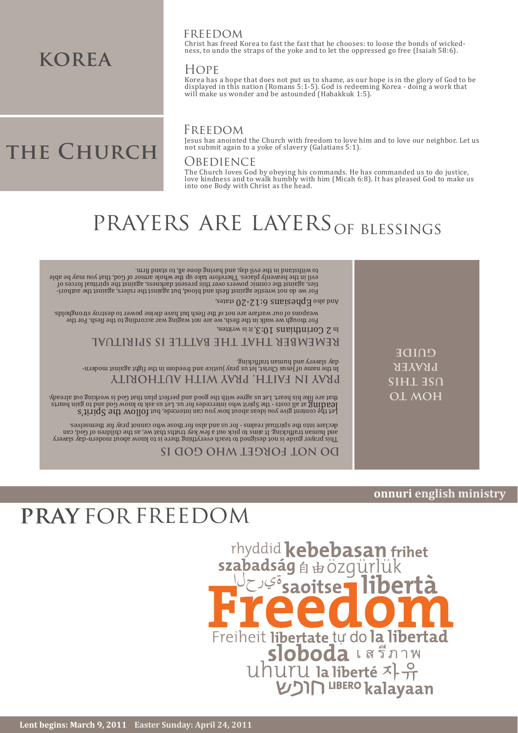# rhyddid kebebasan frihet szabadság á bözgürlük **Saoitse** Freiheit libertate tự do la libertad uhuru la liberté <br/>
xiperté <br/><br/> $\text{WDR}^{\text{UBERO}}\text{kalayaan}$

# **pray** for freedom

### **OL MOH use this** *prvkek* **guide** In the pame of festival and the readons the teedom in the pays against and etta day slavery and human trafficking. **PRAY IN FAITH, PRAY WITH AUTHORITY REMEMBER THAT THE BATTLE IS SPIRITUAL** In 2 Corinthians 10:3, it is written, This prayer guide is not designed to teach everything there is to know about modern-day slavery and human trafficking the children out a few key truths that we, as the children of God, can declare into the spiritual realms - for us and also for those who cannot pray for themselves. Let the content give you ideas about how you can intercede, but  $\mathrm{tol}$  OU  $\mathrm{tol}$  of  $\mathrm{Spin}$ know God and to gain to gain to gain heart the Spirit who intercedes for us. Let us ask to lead is working out already. The spirit who is working out already. The spirit who is heart. Let us agree with the god is heart. Th **DO NOT FORGET WHO GOD IS**

## **onnuri english ministry**

PRAYERS ARE LAYERS OF BLESSINGS

states, Ephesians 6:12-20 And also

# **the Church**

Jesus has anointed the Church with freedom to love him and to love our neighbor. Let us

The Church loves God by obeying his commands. He has commanded us to do justice, love kindness and to walk humbly with him (Micah 6:8). It has pleased God to make us into one Body with Christ as the head.

to withstand in the evil day, and having done all, to stand firm.

Freedom **OBEDIENCE** not submit again to a yoke of slavery (Galatians 5:1).

freedom

For though we walk in the flesh, we are not waging war according to the flesh, reduced weapons of our warfare are not of the flesh but have divine power to destroy strongholds.

For we do not wrestle against flesh and blood but against the and against the authorievil in the heavenly places. Therefore take up the whole armor of God, that you may be able<br>ties, against the cosmic powers over this present darkness, against the spiritual forces of

# KOREA HOPE

ness, to undo the straps of the yoke and to let the oppressed go free (Isaiah 58:6).

Christ has freed Korea to fast the fast that he chooses: to loose the bonds of wicked-

Korea has a hope that does not put us to shame, as our hope is in the glory of God to be displayed in this nation (Romans 5:1-5). God is redeeming Korea - doing a work that will make us wonder and be astounded (Habakkuk 1:5).